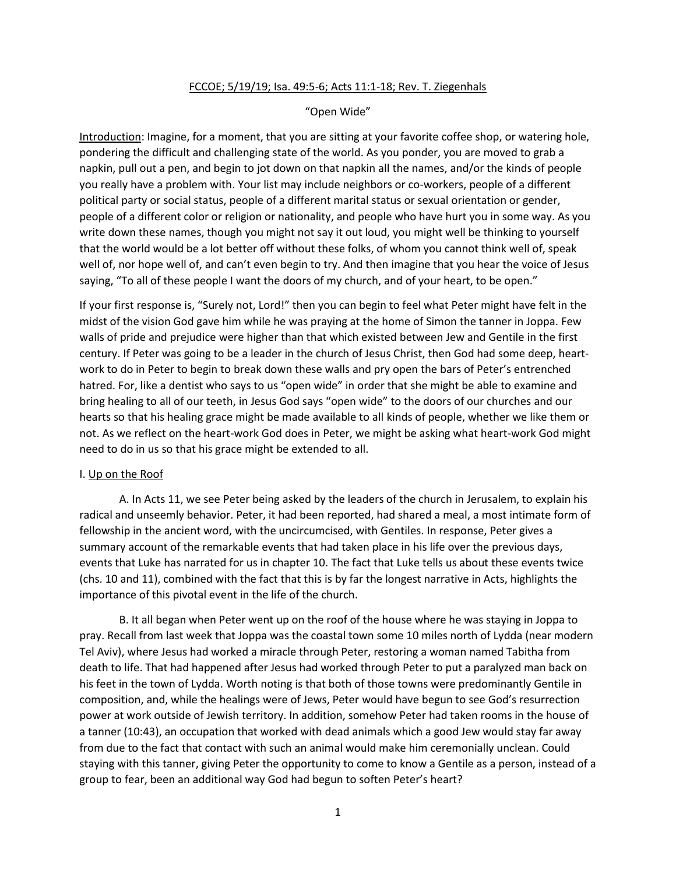#### FCCOE; 5/19/19; Isa. 49:5-6; Acts 11:1-18; Rev. T. Ziegenhals

### "Open Wide"

Introduction: Imagine, for a moment, that you are sitting at your favorite coffee shop, or watering hole, pondering the difficult and challenging state of the world. As you ponder, you are moved to grab a napkin, pull out a pen, and begin to jot down on that napkin all the names, and/or the kinds of people you really have a problem with. Your list may include neighbors or co-workers, people of a different political party or social status, people of a different marital status or sexual orientation or gender, people of a different color or religion or nationality, and people who have hurt you in some way. As you write down these names, though you might not say it out loud, you might well be thinking to yourself that the world would be a lot better off without these folks, of whom you cannot think well of, speak well of, nor hope well of, and can't even begin to try. And then imagine that you hear the voice of Jesus saying, "To all of these people I want the doors of my church, and of your heart, to be open."

If your first response is, "Surely not, Lord!" then you can begin to feel what Peter might have felt in the midst of the vision God gave him while he was praying at the home of Simon the tanner in Joppa. Few walls of pride and prejudice were higher than that which existed between Jew and Gentile in the first century. If Peter was going to be a leader in the church of Jesus Christ, then God had some deep, heartwork to do in Peter to begin to break down these walls and pry open the bars of Peter's entrenched hatred. For, like a dentist who says to us "open wide" in order that she might be able to examine and bring healing to all of our teeth, in Jesus God says "open wide" to the doors of our churches and our hearts so that his healing grace might be made available to all kinds of people, whether we like them or not. As we reflect on the heart-work God does in Peter, we might be asking what heart-work God might need to do in us so that his grace might be extended to all.

#### I. Up on the Roof

A. In Acts 11, we see Peter being asked by the leaders of the church in Jerusalem, to explain his radical and unseemly behavior. Peter, it had been reported, had shared a meal, a most intimate form of fellowship in the ancient word, with the uncircumcised, with Gentiles. In response, Peter gives a summary account of the remarkable events that had taken place in his life over the previous days, events that Luke has narrated for us in chapter 10. The fact that Luke tells us about these events twice (chs. 10 and 11), combined with the fact that this is by far the longest narrative in Acts, highlights the importance of this pivotal event in the life of the church.

B. It all began when Peter went up on the roof of the house where he was staying in Joppa to pray. Recall from last week that Joppa was the coastal town some 10 miles north of Lydda (near modern Tel Aviv), where Jesus had worked a miracle through Peter, restoring a woman named Tabitha from death to life. That had happened after Jesus had worked through Peter to put a paralyzed man back on his feet in the town of Lydda. Worth noting is that both of those towns were predominantly Gentile in composition, and, while the healings were of Jews, Peter would have begun to see God's resurrection power at work outside of Jewish territory. In addition, somehow Peter had taken rooms in the house of a tanner (10:43), an occupation that worked with dead animals which a good Jew would stay far away from due to the fact that contact with such an animal would make him ceremonially unclean. Could staying with this tanner, giving Peter the opportunity to come to know a Gentile as a person, instead of a group to fear, been an additional way God had begun to soften Peter's heart?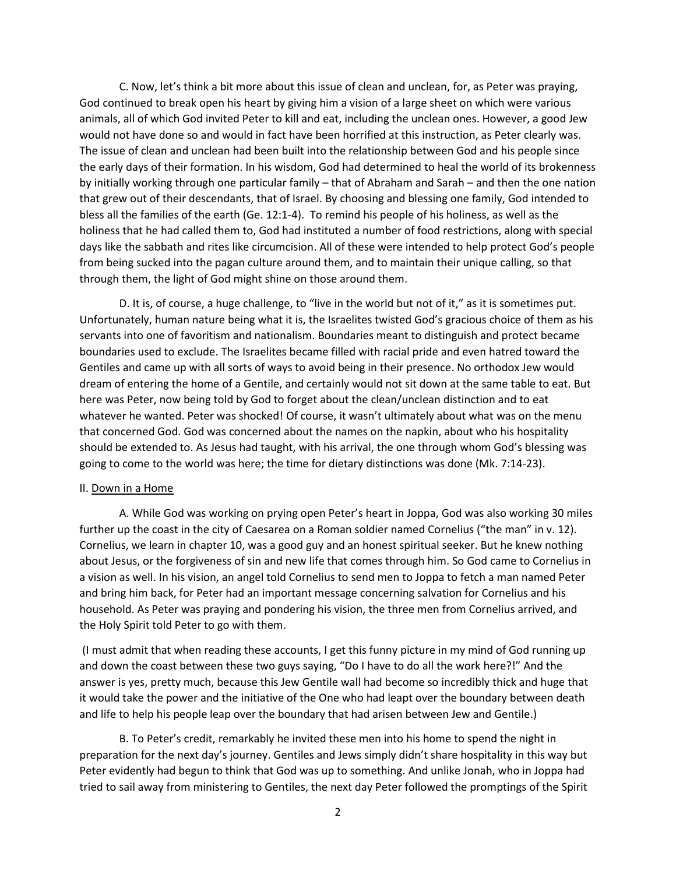C. Now, let's think a bit more about this issue of clean and unclean, for, as Peter was praying, God continued to break open his heart by giving him a vision of a large sheet on which were various animals, all of which God invited Peter to kill and eat, including the unclean ones. However, a good Jew would not have done so and would in fact have been horrified at this instruction, as Peter clearly was. The issue of clean and unclean had been built into the relationship between God and his people since the early days of their formation. In his wisdom, God had determined to heal the world of its brokenness by initially working through one particular family – that of Abraham and Sarah – and then the one nation that grew out of their descendants, that of Israel. By choosing and blessing one family, God intended to bless all the families of the earth (Ge. 12:1-4). To remind his people of his holiness, as well as the holiness that he had called them to, God had instituted a number of food restrictions, along with special days like the sabbath and rites like circumcision. All of these were intended to help protect God's people from being sucked into the pagan culture around them, and to maintain their unique calling, so that through them, the light of God might shine on those around them.

D. It is, of course, a huge challenge, to "live in the world but not of it," as it is sometimes put. Unfortunately, human nature being what it is, the Israelites twisted God's gracious choice of them as his servants into one of favoritism and nationalism. Boundaries meant to distinguish and protect became boundaries used to exclude. The Israelites became filled with racial pride and even hatred toward the Gentiles and came up with all sorts of ways to avoid being in their presence. No orthodox Jew would dream of entering the home of a Gentile, and certainly would not sit down at the same table to eat. But here was Peter, now being told by God to forget about the clean/unclean distinction and to eat whatever he wanted. Peter was shocked! Of course, it wasn't ultimately about what was on the menu that concerned God. God was concerned about the names on the napkin, about who his hospitality should be extended to. As Jesus had taught, with his arrival, the one through whom God's blessing was going to come to the world was here; the time for dietary distinctions was done (Mk. 7:14-23).

## II. Down in a Home

A. While God was working on prying open Peter's heart in Joppa, God was also working 30 miles further up the coast in the city of Caesarea on a Roman soldier named Cornelius ("the man" in v. 12). Cornelius, we learn in chapter 10, was a good guy and an honest spiritual seeker. But he knew nothing about Jesus, or the forgiveness of sin and new life that comes through him. So God came to Cornelius in a vision as well. In his vision, an angel told Cornelius to send men to Joppa to fetch a man named Peter and bring him back, for Peter had an important message concerning salvation for Cornelius and his household. As Peter was praying and pondering his vision, the three men from Cornelius arrived, and the Holy Spirit told Peter to go with them.

(I must admit that when reading these accounts, I get this funny picture in my mind of God running up and down the coast between these two guys saying, "Do I have to do all the work here?!" And the answer is yes, pretty much, because this Jew Gentile wall had become so incredibly thick and huge that it would take the power and the initiative of the One who had leapt over the boundary between death and life to help his people leap over the boundary that had arisen between Jew and Gentile.)

B. To Peter's credit, remarkably he invited these men into his home to spend the night in preparation for the next day's journey. Gentiles and Jews simply didn't share hospitality in this way but Peter evidently had begun to think that God was up to something. And unlike Jonah, who in Joppa had tried to sail away from ministering to Gentiles, the next day Peter followed the promptings of the Spirit